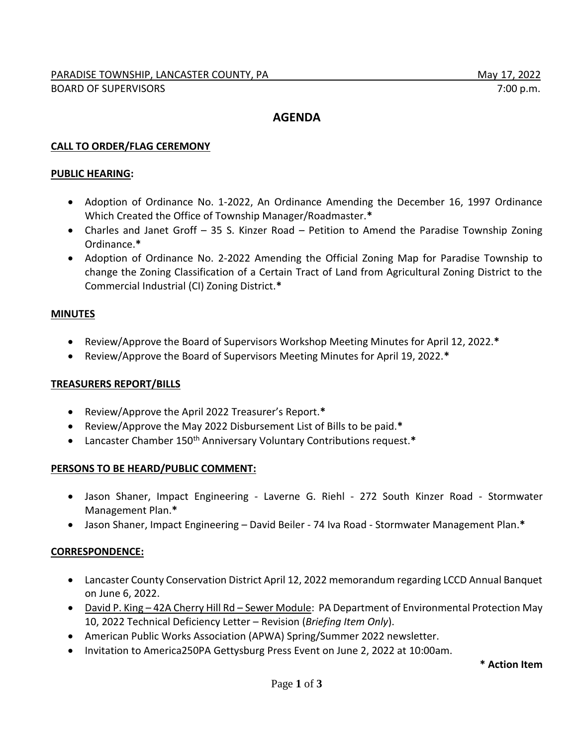# **AGENDA**

# **CALL TO ORDER/FLAG CEREMONY**

## **PUBLIC HEARING:**

- Adoption of Ordinance No. 1-2022, An Ordinance Amending the December 16, 1997 Ordinance Which Created the Office of Township Manager/Roadmaster.**\***
- Charles and Janet Groff 35 S. Kinzer Road Petition to Amend the Paradise Township Zoning Ordinance.**\***
- Adoption of Ordinance No. 2-2022 Amending the Official Zoning Map for Paradise Township to change the Zoning Classification of a Certain Tract of Land from Agricultural Zoning District to the Commercial Industrial (CI) Zoning District.**\***

## **MINUTES**

- Review/Approve the Board of Supervisors Workshop Meeting Minutes for April 12, 2022.**\***
- Review/Approve the Board of Supervisors Meeting Minutes for April 19, 2022.**\***

## **TREASURERS REPORT/BILLS**

- Review/Approve the April 2022 Treasurer's Report.**\***
- Review/Approve the May 2022 Disbursement List of Bills to be paid.**\***
- Lancaster Chamber 150<sup>th</sup> Anniversary Voluntary Contributions request.\*

## **PERSONS TO BE HEARD/PUBLIC COMMENT:**

- Jason Shaner, Impact Engineering Laverne G. Riehl 272 South Kinzer Road Stormwater Management Plan.**\***
- Jason Shaner, Impact Engineering David Beiler 74 Iva Road Stormwater Management Plan.**\***

## **CORRESPONDENCE:**

- Lancaster County Conservation District April 12, 2022 memorandum regarding LCCD Annual Banquet on June 6, 2022.
- David P. King 42A Cherry Hill Rd Sewer Module: PA Department of Environmental Protection May 10, 2022 Technical Deficiency Letter – Revision (*Briefing Item Only*).
- American Public Works Association (APWA) Spring/Summer 2022 newsletter.
- Invitation to America250PA Gettysburg Press Event on June 2, 2022 at 10:00am.

**\* Action Item**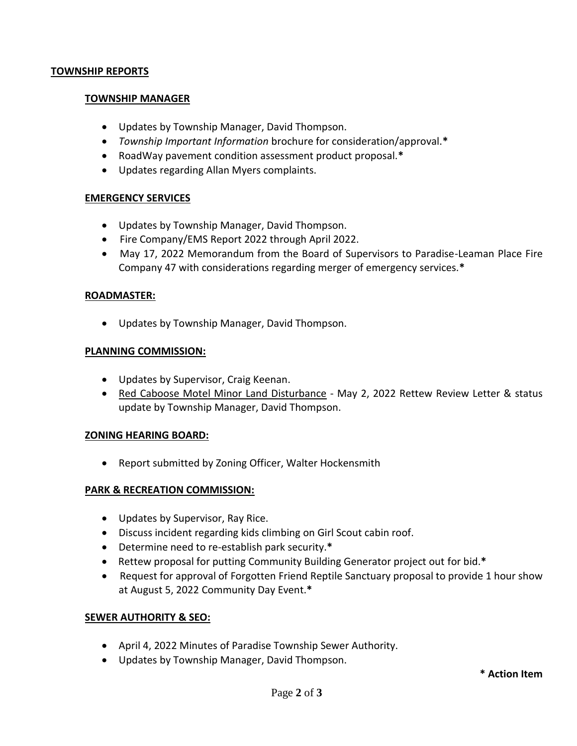#### **TOWNSHIP REPORTS**

#### **TOWNSHIP MANAGER**

- Updates by Township Manager, David Thompson.
- *Township Important Information* brochure for consideration/approval.**\***
- RoadWay pavement condition assessment product proposal.**\***
- Updates regarding Allan Myers complaints.

## **EMERGENCY SERVICES**

- Updates by Township Manager, David Thompson.
- Fire Company/EMS Report 2022 through April 2022.
- May 17, 2022 Memorandum from the Board of Supervisors to Paradise-Leaman Place Fire Company 47 with considerations regarding merger of emergency services.**\***

#### **ROADMASTER:**

Updates by Township Manager, David Thompson.

#### **PLANNING COMMISSION:**

- Updates by Supervisor, Craig Keenan.
- Red Caboose Motel Minor Land Disturbance May 2, 2022 Rettew Review Letter & status update by Township Manager, David Thompson.

## **ZONING HEARING BOARD:**

• Report submitted by Zoning Officer, Walter Hockensmith

## **PARK & RECREATION COMMISSION:**

- Updates by Supervisor, Ray Rice.
- Discuss incident regarding kids climbing on Girl Scout cabin roof.
- Determine need to re-establish park security.**\***
- Rettew proposal for putting Community Building Generator project out for bid.**\***
- Request for approval of Forgotten Friend Reptile Sanctuary proposal to provide 1 hour show at August 5, 2022 Community Day Event.**\***

## **SEWER AUTHORITY & SEO:**

- April 4, 2022 Minutes of Paradise Township Sewer Authority.
- Updates by Township Manager, David Thompson.